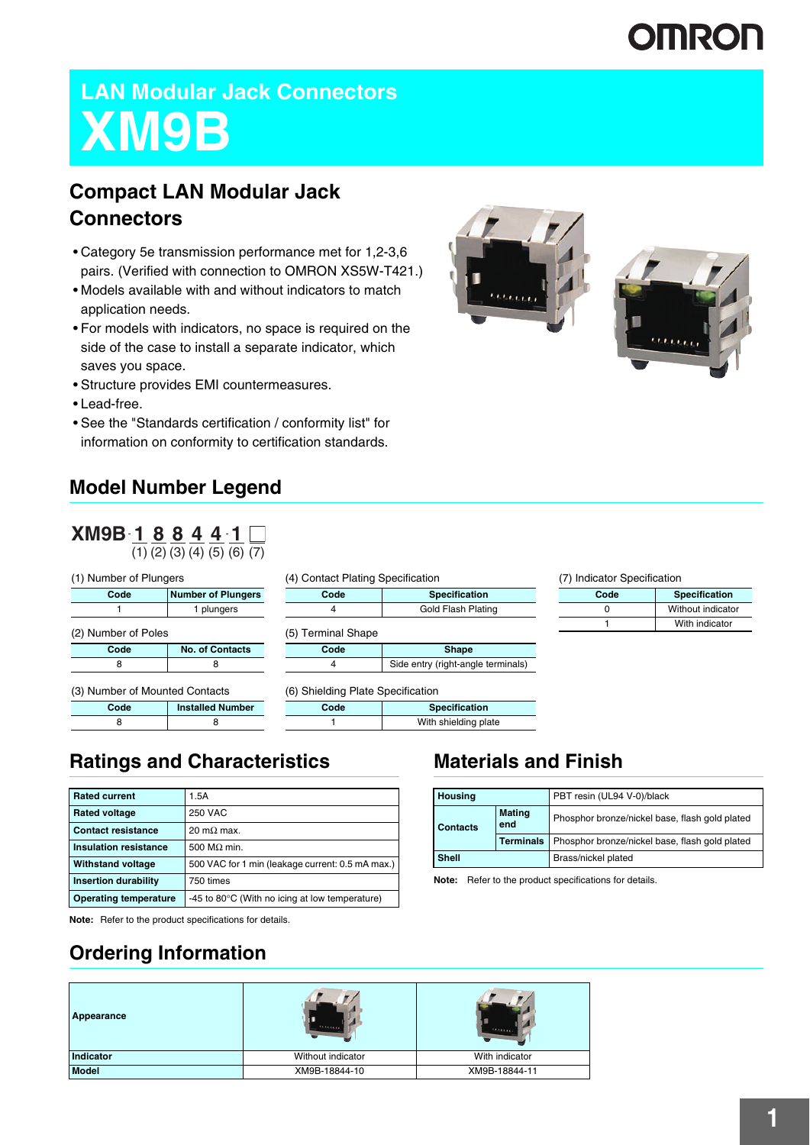# **OMRON**

## **LAN Modular Jack Connectors XM9B**

### **Compact LAN Modular Jack Connectors**

- Category 5e transmission performance met for 1,2-3,6 pairs. (Verified with connection to OMRON XS5W-T421.)
- Models available with and without indicators to match application needs.
- For models with indicators, no space is required on the side of the case to install a separate indicator, which saves you space.
- Structure provides EMI countermeasures.
- Lead-free.
- See the "Standards certification / conformity list" for information on conformity to certification standards.

### **Model Number Legend**

**Code Number of Plungers** 1 1 plungers

**Code No. of Contacts** 8 8

**Code Installed Number** 8 8

| XM9B188441 |  |  |                                           |  |
|------------|--|--|-------------------------------------------|--|
|            |  |  | $(1)$ $(2)$ $(3)$ $(4)$ $(5)$ $(6)$ $(7)$ |  |

(1) Number of Plungers

(2) Number of Poles

(3) Number of Mounted Contacts

| (4) Contact Plating Specification |                                    |  |
|-----------------------------------|------------------------------------|--|
| Code                              | <b>Specification</b>               |  |
| 4                                 | Gold Flash Plating                 |  |
| (5) Terminal Shape                |                                    |  |
| Code                              | <b>Shape</b>                       |  |
|                                   | Side entry (right-angle terminals) |  |
| (6) Shielding Plate Specification |                                    |  |

| Code | <b>Specification</b> |
|------|----------------------|
|      | With shielding plate |

### **Ratings and Characteristics**

| <b>Rated current</b>         | 1.5A                                                     |
|------------------------------|----------------------------------------------------------|
| <b>Rated voltage</b>         | 250 VAC                                                  |
| <b>Contact resistance</b>    | $20 \text{ m}\Omega$ max.                                |
| Insulation resistance        | 500 $M\Omega$ min.                                       |
| <b>Withstand voltage</b>     | 500 VAC for 1 min (leakage current: 0.5 mA max.)         |
| <b>Insertion durability</b>  | 750 times                                                |
| <b>Operating temperature</b> | -45 to 80 $\degree$ C (With no icing at low temperature) |

**Note:** Refer to the product specifications for details.

### **Ordering Information**

## **Appearance Indicator** Without indicator Without indicator With indicator With indicator **Model** XM9B-18844-10 XM9B-18844-11





(7) Indicator Specification

| Code | <b>Specification</b> |
|------|----------------------|
|      | Without indicator    |
|      | With indicator       |

### **Materials and Finish**

| <b>Housing</b>                          |                  | PBT resin (UL94 V-0)/black                     |
|-----------------------------------------|------------------|------------------------------------------------|
| <b>Mating</b><br>end<br><b>Contacts</b> |                  | Phosphor bronze/nickel base, flash gold plated |
|                                         | <b>Terminals</b> | Phosphor bronze/nickel base, flash gold plated |
| <b>Shell</b>                            |                  | Brass/nickel plated                            |

**Note:** Refer to the product specifications for details.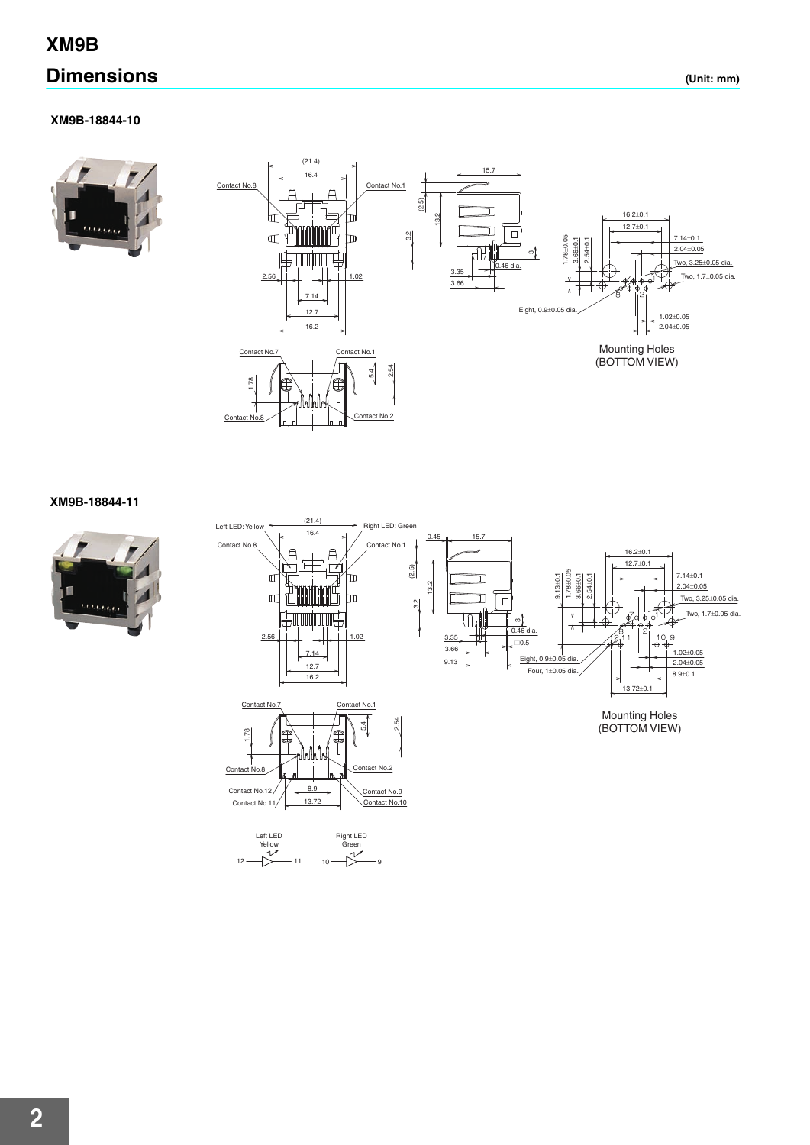### **XM9B**

### **Dimensions (Unit: mm)**

#### **XM9B-18844-10**





#### **XM9B-18844-11**



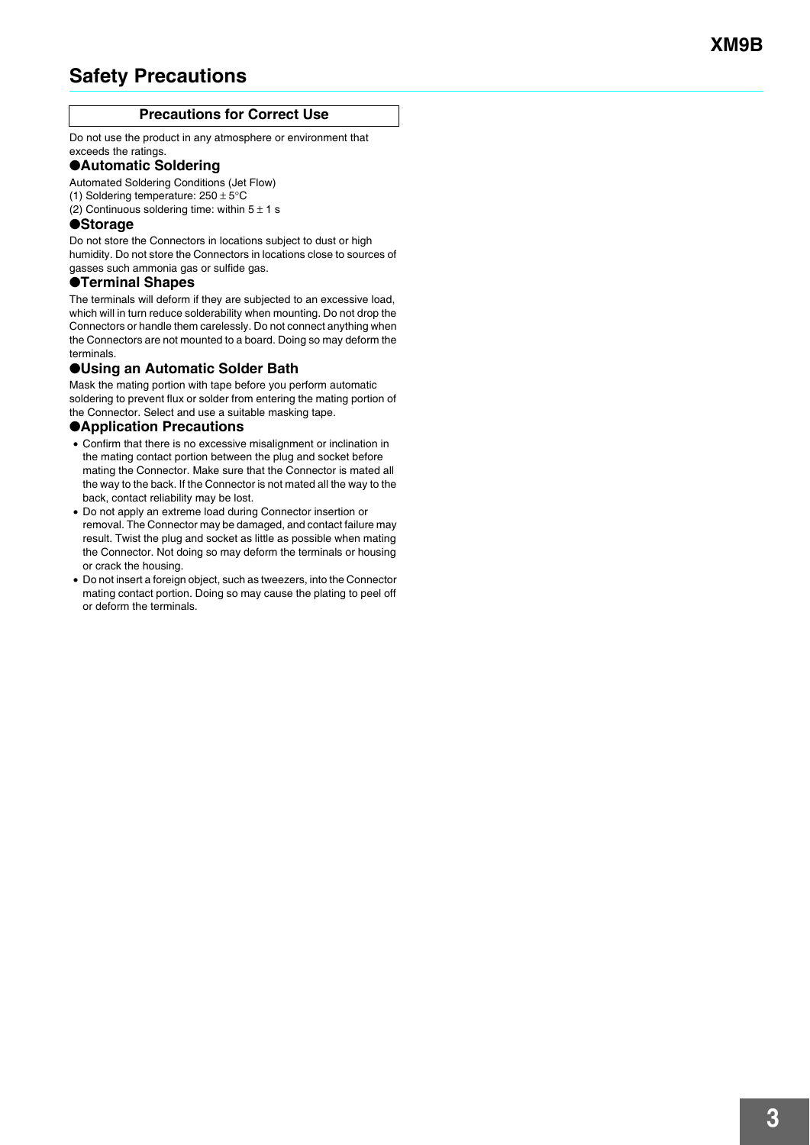### **Safety Precautions**

#### **Precautions for Correct Use**

Do not use the product in any atmosphere or environment that exceeds the ratings.

#### ●**Automatic Soldering**

Automated Soldering Conditions (Jet Flow)

- (1) Soldering temperature:  $250 \pm 5^{\circ}$ C
- (2) Continuous soldering time: within  $5 \pm 1$  s

#### ●**Storage**

Do not store the Connectors in locations subject to dust or high humidity. Do not store the Connectors in locations close to sources of gasses such ammonia gas or sulfide gas.

#### ●**Terminal Shapes**

The terminals will deform if they are subjected to an excessive load, which will in turn reduce solderability when mounting. Do not drop the Connectors or handle them carelessly. Do not connect anything when the Connectors are not mounted to a board. Doing so may deform the terminals.

#### ●**Using an Automatic Solder Bath**

Mask the mating portion with tape before you perform automatic soldering to prevent flux or solder from entering the mating portion of the Connector. Select and use a suitable masking tape.

#### ●**Application Precautions**

- Confirm that there is no excessive misalignment or inclination in the mating contact portion between the plug and socket before mating the Connector. Make sure that the Connector is mated all the way to the back. If the Connector is not mated all the way to the back, contact reliability may be lost.
- Do not apply an extreme load during Connector insertion or removal. The Connector may be damaged, and contact failure may result. Twist the plug and socket as little as possible when mating the Connector. Not doing so may deform the terminals or housing or crack the housing.
- Do not insert a foreign object, such as tweezers, into the Connector mating contact portion. Doing so may cause the plating to peel off or deform the terminals.